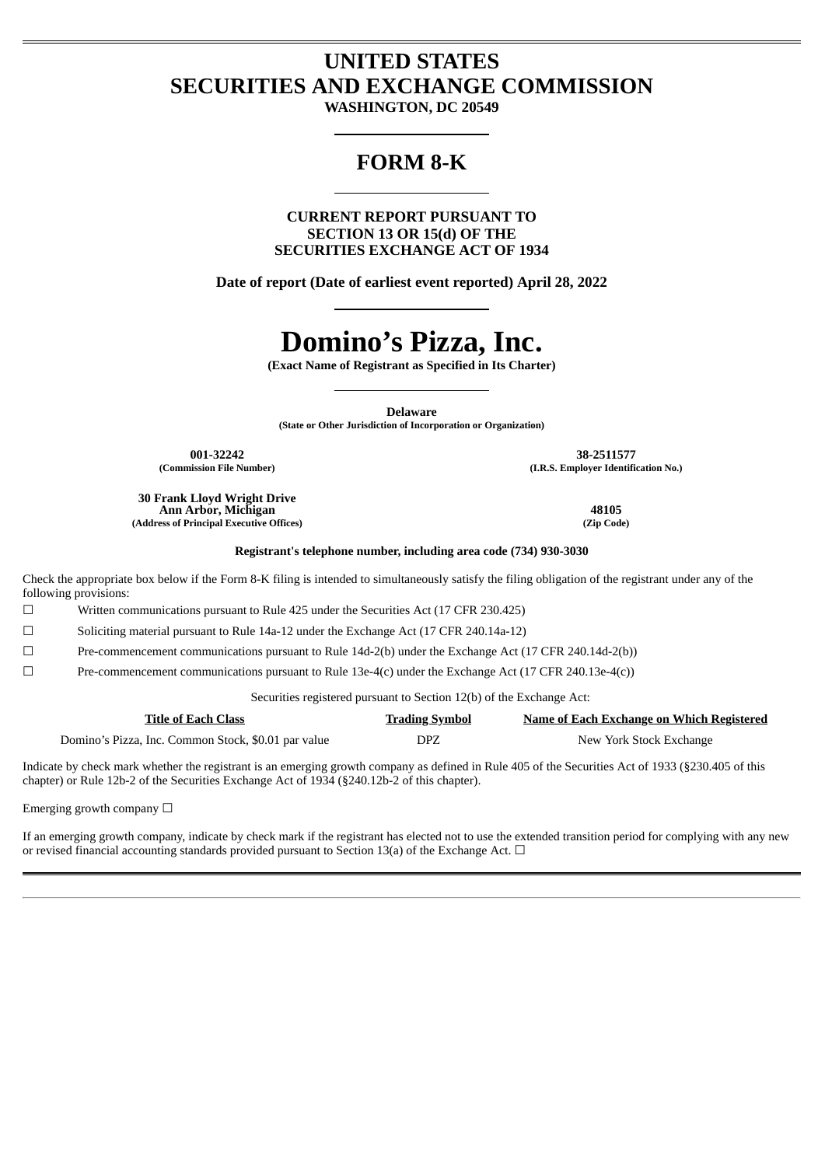# **UNITED STATES SECURITIES AND EXCHANGE COMMISSION**

**WASHINGTON, DC 20549**

# **FORM 8-K**

**CURRENT REPORT PURSUANT TO SECTION 13 OR 15(d) OF THE SECURITIES EXCHANGE ACT OF 1934**

**Date of report (Date of earliest event reported) April 28, 2022**

# **Domino's Pizza, Inc.**

**(Exact Name of Registrant as Specified in Its Charter)**

**Delaware**

**(State or Other Jurisdiction of Incorporation or Organization)**

**001-32242 38-2511577**

**30 Frank Lloyd Wright Drive Ann Arbor, Michigan 48105 (Address of Principal Executive Offices) (Zip Code)**

**(Commission File Number) (I.R.S. Employer Identification No.)**

**Registrant's telephone number, including area code (734) 930-3030**

Check the appropriate box below if the Form 8-K filing is intended to simultaneously satisfy the filing obligation of the registrant under any of the following provisions:

☐ Written communications pursuant to Rule 425 under the Securities Act (17 CFR 230.425)

☐ Soliciting material pursuant to Rule 14a-12 under the Exchange Act (17 CFR 240.14a-12)

☐ Pre-commencement communications pursuant to Rule 14d-2(b) under the Exchange Act (17 CFR 240.14d-2(b))

☐ Pre-commencement communications pursuant to Rule 13e-4(c) under the Exchange Act (17 CFR 240.13e-4(c))

Securities registered pursuant to Section 12(b) of the Exchange Act:

| <b>Title of Each Class</b>                          | <b>Trading Symbol</b> | <b>Name of Each Exchange on Which Registered</b> |
|-----------------------------------------------------|-----------------------|--------------------------------------------------|
| Domino's Pizza, Inc. Common Stock, \$0.01 par value | <b>DPZ</b>            | New York Stock Exchange                          |

Indicate by check mark whether the registrant is an emerging growth company as defined in Rule 405 of the Securities Act of 1933 (§230.405 of this chapter) or Rule 12b-2 of the Securities Exchange Act of 1934 (§240.12b-2 of this chapter).

Emerging growth company  $\Box$ 

If an emerging growth company, indicate by check mark if the registrant has elected not to use the extended transition period for complying with any new or revised financial accounting standards provided pursuant to Section 13(a) of the Exchange Act.  $\Box$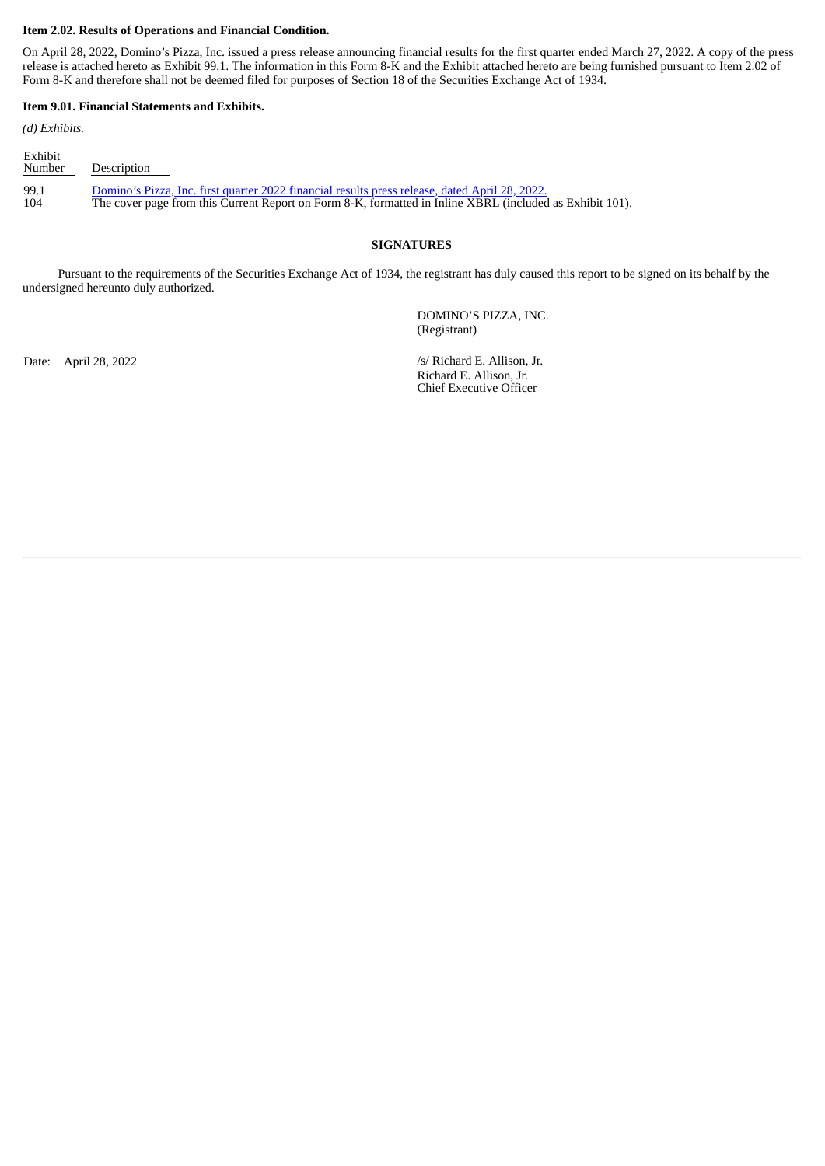#### **Item 2.02. Results of Operations and Financial Condition.**

On April 28, 2022, Domino's Pizza, Inc. issued a press release announcing financial results for the first quarter ended March 27, 2022. A copy of the press release is attached hereto as Exhibit 99.1. The information in this Form 8-K and the Exhibit attached hereto are being furnished pursuant to Item 2.02 of Form 8-K and therefore shall not be deemed filed for purposes of Section 18 of the Securities Exchange Act of 1934.

#### **Item 9.01. Financial Statements and Exhibits.**

*(d) Exhibits.*

| Exhibit<br>Number | Description                                                                                              |
|-------------------|----------------------------------------------------------------------------------------------------------|
| 99.1              | Domino's Pizza, Inc. first quarter 2022 financial results press release, dated April 28, 2022.           |
| 104               | The cover page from this Current Report on Form 8-K, formatted in Inline XBRL (included as Exhibit 101). |

#### **SIGNATURES**

Pursuant to the requirements of the Securities Exchange Act of 1934, the registrant has duly caused this report to be signed on its behalf by the undersigned hereunto duly authorized.

> DOMINO'S PIZZA, INC. (Registrant)

Date: April 28, 2022 /s/ Richard E. Allison, Jr. Richard E. Allison, Jr.

Chief Executive Officer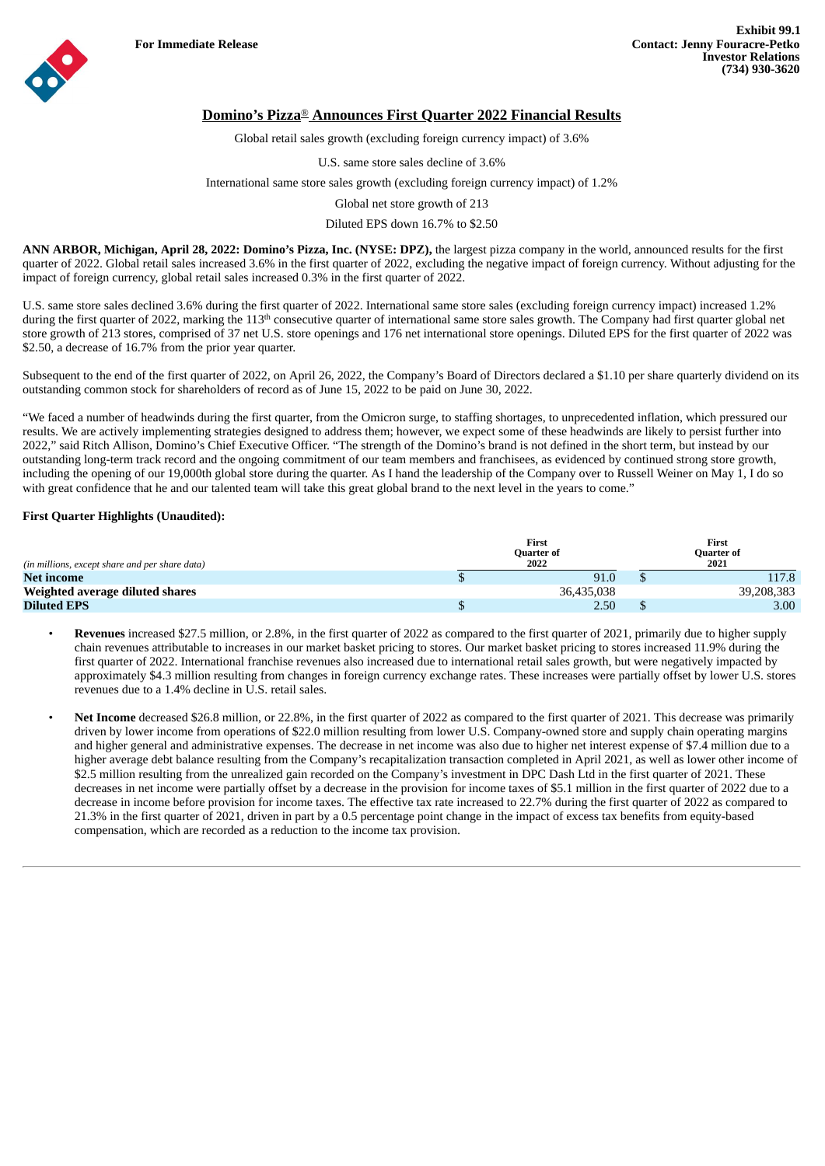<span id="page-2-0"></span>

# **Domino's Pizza**® **Announces First Quarter 2022 Financial Results**

Global retail sales growth (excluding foreign currency impact) of 3.6%

U.S. same store sales decline of 3.6%

International same store sales growth (excluding foreign currency impact) of 1.2%

Global net store growth of 213

Diluted EPS down 16.7% to \$2.50

**ANN ARBOR, Michigan, April 28, 2022: Domino's Pizza, Inc. (NYSE: DPZ),** the largest pizza company in the world, announced results for the first quarter of 2022. Global retail sales increased 3.6% in the first quarter of 2022, excluding the negative impact of foreign currency. Without adjusting for the impact of foreign currency, global retail sales increased 0.3% in the first quarter of 2022.

U.S. same store sales declined 3.6% during the first quarter of 2022. International same store sales (excluding foreign currency impact) increased 1.2% during the first quarter of 2022, marking the 113<sup>th</sup> consecutive quarter of international same store sales growth. The Company had first quarter global net store growth of 213 stores, comprised of 37 net U.S. store openings and 176 net international store openings. Diluted EPS for the first quarter of 2022 was \$2.50, a decrease of 16.7% from the prior year quarter.

Subsequent to the end of the first quarter of 2022, on April 26, 2022, the Company's Board of Directors declared a \$1.10 per share quarterly dividend on its outstanding common stock for shareholders of record as of June 15, 2022 to be paid on June 30, 2022.

"We faced a number of headwinds during the first quarter, from the Omicron surge, to staffing shortages, to unprecedented inflation, which pressured our results. We are actively implementing strategies designed to address them; however, we expect some of these headwinds are likely to persist further into 2022," said Ritch Allison, Domino's Chief Executive Officer. "The strength of the Domino's brand is not defined in the short term, but instead by our outstanding long-term track record and the ongoing commitment of our team members and franchisees, as evidenced by continued strong store growth, including the opening of our 19,000th global store during the quarter. As I hand the leadership of the Company over to Russell Weiner on May 1, I do so with great confidence that he and our talented team will take this great global brand to the next level in the years to come."

# **First Quarter Highlights (Unaudited):**

| (in millions, except share and per share data) | First<br><b>Ouarter of</b><br>2022 |  | First<br>Quarter of<br>2021 |  |
|------------------------------------------------|------------------------------------|--|-----------------------------|--|
| <b>Net income</b>                              | 91.0                               |  | 117.8                       |  |
| Weighted average diluted shares                | 36.435.038                         |  | 39,208,383                  |  |
| <b>Diluted EPS</b>                             | 2.50                               |  | 3.00                        |  |

- **Revenues** increased \$27.5 million, or 2.8%, in the first quarter of 2022 as compared to the first quarter of 2021, primarily due to higher supply chain revenues attributable to increases in our market basket pricing to stores. Our market basket pricing to stores increased 11.9% during the first quarter of 2022. International franchise revenues also increased due to international retail sales growth, but were negatively impacted by approximately \$4.3 million resulting from changes in foreign currency exchange rates. These increases were partially offset by lower U.S. stores revenues due to a 1.4% decline in U.S. retail sales.
- **Net Income** decreased \$26.8 million, or 22.8%, in the first quarter of 2022 as compared to the first quarter of 2021. This decrease was primarily driven by lower income from operations of \$22.0 million resulting from lower U.S. Company-owned store and supply chain operating margins and higher general and administrative expenses. The decrease in net income was also due to higher net interest expense of \$7.4 million due to a higher average debt balance resulting from the Company's recapitalization transaction completed in April 2021, as well as lower other income of \$2.5 million resulting from the unrealized gain recorded on the Company's investment in DPC Dash Ltd in the first quarter of 2021. These decreases in net income were partially offset by a decrease in the provision for income taxes of \$5.1 million in the first quarter of 2022 due to a decrease in income before provision for income taxes. The effective tax rate increased to 22.7% during the first quarter of 2022 as compared to 21.3% in the first quarter of 2021, driven in part by a 0.5 percentage point change in the impact of excess tax benefits from equity-based compensation, which are recorded as a reduction to the income tax provision.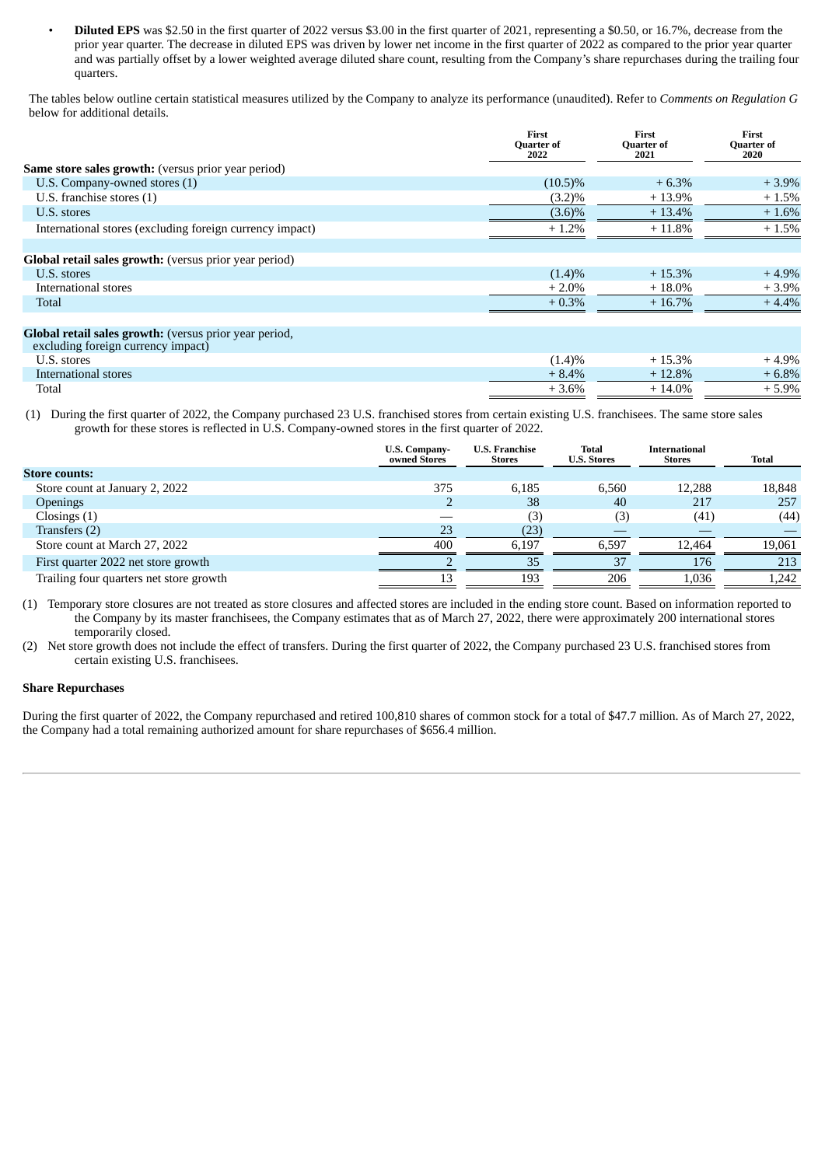• **Diluted EPS** was \$2.50 in the first quarter of 2022 versus \$3.00 in the first quarter of 2021, representing a \$0.50, or 16.7%, decrease from the prior year quarter. The decrease in diluted EPS was driven by lower net income in the first quarter of 2022 as compared to the prior year quarter and was partially offset by a lower weighted average diluted share count, resulting from the Company's share repurchases during the trailing four quarters.

The tables below outline certain statistical measures utilized by the Company to analyze its performance (unaudited). Refer to *Comments on Regulation G* below for additional details.

|                                                                                              | First<br><b>Quarter of</b><br>2022 | First<br><b>Quarter of</b><br>2021 | First<br><b>Quarter of</b><br>2020 |
|----------------------------------------------------------------------------------------------|------------------------------------|------------------------------------|------------------------------------|
| <b>Same store sales growth:</b> (versus prior year period)                                   |                                    |                                    |                                    |
| U.S. Company-owned stores (1)                                                                | $(10.5)\%$                         | $+6.3%$                            | $+3.9%$                            |
| U.S. franchise stores (1)                                                                    | $(3.2)\%$                          | $+13.9%$                           | $+1.5%$                            |
| U.S. stores                                                                                  | $(3.6)\%$                          | $+13.4%$                           | $+1.6%$                            |
| International stores (excluding foreign currency impact)                                     | $+1.2%$                            | $+11.8%$                           | $+1.5%$                            |
| <b>Global retail sales growth:</b> (versus prior year period)                                |                                    |                                    |                                    |
| U.S. stores                                                                                  | $(1.4)\%$                          | $+15.3%$                           | $+4.9%$                            |
| International stores                                                                         | $+2.0\%$                           | $+18.0\%$                          | $+3.9%$                            |
| Total                                                                                        | $+0.3%$                            | $+16.7%$                           | $+4.4%$                            |
| Global retail sales growth: (versus prior year period,<br>excluding foreign currency impact) |                                    |                                    |                                    |
| U.S. stores                                                                                  | (1.4)%                             | $+15.3%$                           | $+4.9%$                            |
| International stores                                                                         | $+8.4%$                            | $+12.8%$                           | $+6.8%$                            |
| Total                                                                                        | $+3.6%$                            | $+14.0\%$                          | $+5.9%$                            |

(1) During the first quarter of 2022, the Company purchased 23 U.S. franchised stores from certain existing U.S. franchisees. The same store sales growth for these stores is reflected in U.S. Company-owned stores in the first quarter of 2022.

|                                         | <b>U.S. Company-</b><br>owned Stores | <b>U.S. Franchise</b><br><b>Stores</b> | <b>Total</b><br><b>U.S. Stores</b> | <b>International</b><br><b>Stores</b> | Total  |
|-----------------------------------------|--------------------------------------|----------------------------------------|------------------------------------|---------------------------------------|--------|
| <b>Store counts:</b>                    |                                      |                                        |                                    |                                       |        |
| Store count at January 2, 2022          | 375                                  | 6,185                                  | 6.560                              | 12.288                                | 18,848 |
| <b>Openings</b>                         |                                      | 38                                     | 40                                 | 217                                   | 257    |
| Closings $(1)$                          |                                      | (3)                                    | (3)                                | (41)                                  | (44)   |
| Transfers (2)                           | 23                                   | (23)                                   |                                    |                                       |        |
| Store count at March 27, 2022           | 400                                  | 6.197                                  | 6.597                              | 12,464                                | 19,061 |
| First quarter 2022 net store growth     |                                      | 35                                     | 37                                 | 176                                   | 213    |
| Trailing four quarters net store growth |                                      | 193                                    | 206                                | 1,036                                 | 1,242  |

(1) Temporary store closures are not treated as store closures and affected stores are included in the ending store count. Based on information reported to the Company by its master franchisees, the Company estimates that as of March 27, 2022, there were approximately 200 international stores temporarily closed.

(2) Net store growth does not include the effect of transfers. During the first quarter of 2022, the Company purchased 23 U.S. franchised stores from certain existing U.S. franchisees.

# **Share Repurchases**

During the first quarter of 2022, the Company repurchased and retired 100,810 shares of common stock for a total of \$47.7 million. As of March 27, 2022, the Company had a total remaining authorized amount for share repurchases of \$656.4 million.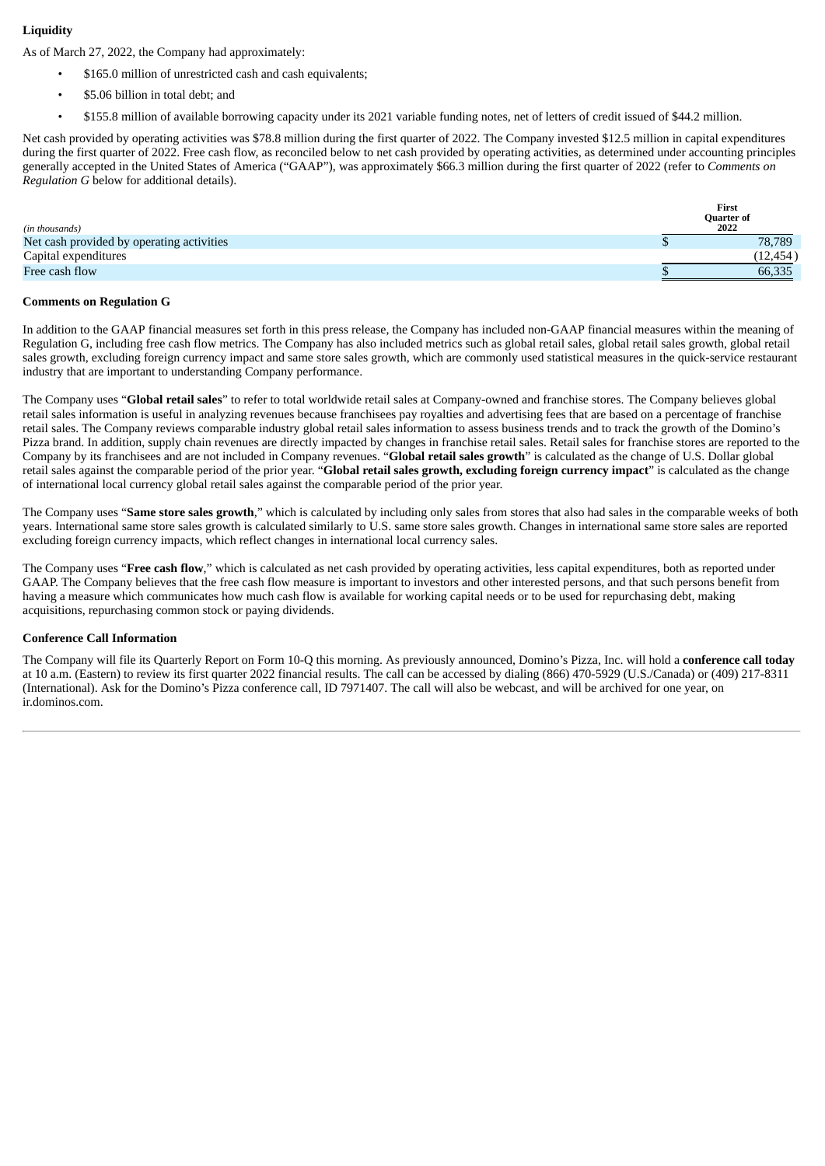# **Liquidity**

As of March 27, 2022, the Company had approximately:

- \$165.0 million of unrestricted cash and cash equivalents;
- \$5.06 billion in total debt; and
- \$155.8 million of available borrowing capacity under its 2021 variable funding notes, net of letters of credit issued of \$44.2 million.

Net cash provided by operating activities was \$78.8 million during the first quarter of 2022. The Company invested \$12.5 million in capital expenditures during the first quarter of 2022. Free cash flow, as reconciled below to net cash provided by operating activities, as determined under accounting principles generally accepted in the United States of America ("GAAP"), was approximately \$66.3 million during the first quarter of 2022 (refer to *Comments on Regulation G* below for additional details).

| (in thousands)                            | First<br>Quarter of<br>2022 |
|-------------------------------------------|-----------------------------|
| Net cash provided by operating activities | 78,789                      |
| Capital expenditures                      | (12, 454)                   |
| Free cash flow                            | 66,335                      |

# **Comments on Regulation G**

In addition to the GAAP financial measures set forth in this press release, the Company has included non-GAAP financial measures within the meaning of Regulation G, including free cash flow metrics. The Company has also included metrics such as global retail sales, global retail sales growth, global retail sales growth, excluding foreign currency impact and same store sales growth, which are commonly used statistical measures in the quick-service restaurant industry that are important to understanding Company performance.

The Company uses "**Global retail sales**" to refer to total worldwide retail sales at Company-owned and franchise stores. The Company believes global retail sales information is useful in analyzing revenues because franchisees pay royalties and advertising fees that are based on a percentage of franchise retail sales. The Company reviews comparable industry global retail sales information to assess business trends and to track the growth of the Domino's Pizza brand. In addition, supply chain revenues are directly impacted by changes in franchise retail sales. Retail sales for franchise stores are reported to the Company by its franchisees and are not included in Company revenues. "**Global retail sales growth**" is calculated as the change of U.S. Dollar global retail sales against the comparable period of the prior year. "**Global retail sales growth, excluding foreign currency impact**" is calculated as the change of international local currency global retail sales against the comparable period of the prior year.

The Company uses "**Same store sales growth**," which is calculated by including only sales from stores that also had sales in the comparable weeks of both years. International same store sales growth is calculated similarly to U.S. same store sales growth. Changes in international same store sales are reported excluding foreign currency impacts, which reflect changes in international local currency sales.

The Company uses "**Free cash flow**," which is calculated as net cash provided by operating activities, less capital expenditures, both as reported under GAAP. The Company believes that the free cash flow measure is important to investors and other interested persons, and that such persons benefit from having a measure which communicates how much cash flow is available for working capital needs or to be used for repurchasing debt, making acquisitions, repurchasing common stock or paying dividends.

# **Conference Call Information**

The Company will file its Quarterly Report on Form 10-Q this morning. As previously announced, Domino's Pizza, Inc. will hold a **conference call today** at 10 a.m. (Eastern) to review its first quarter 2022 financial results. The call can be accessed by dialing (866) 470-5929 (U.S./Canada) or (409) 217-8311 (International). Ask for the Domino's Pizza conference call, ID 7971407. The call will also be webcast, and will be archived for one year, on ir.dominos.com.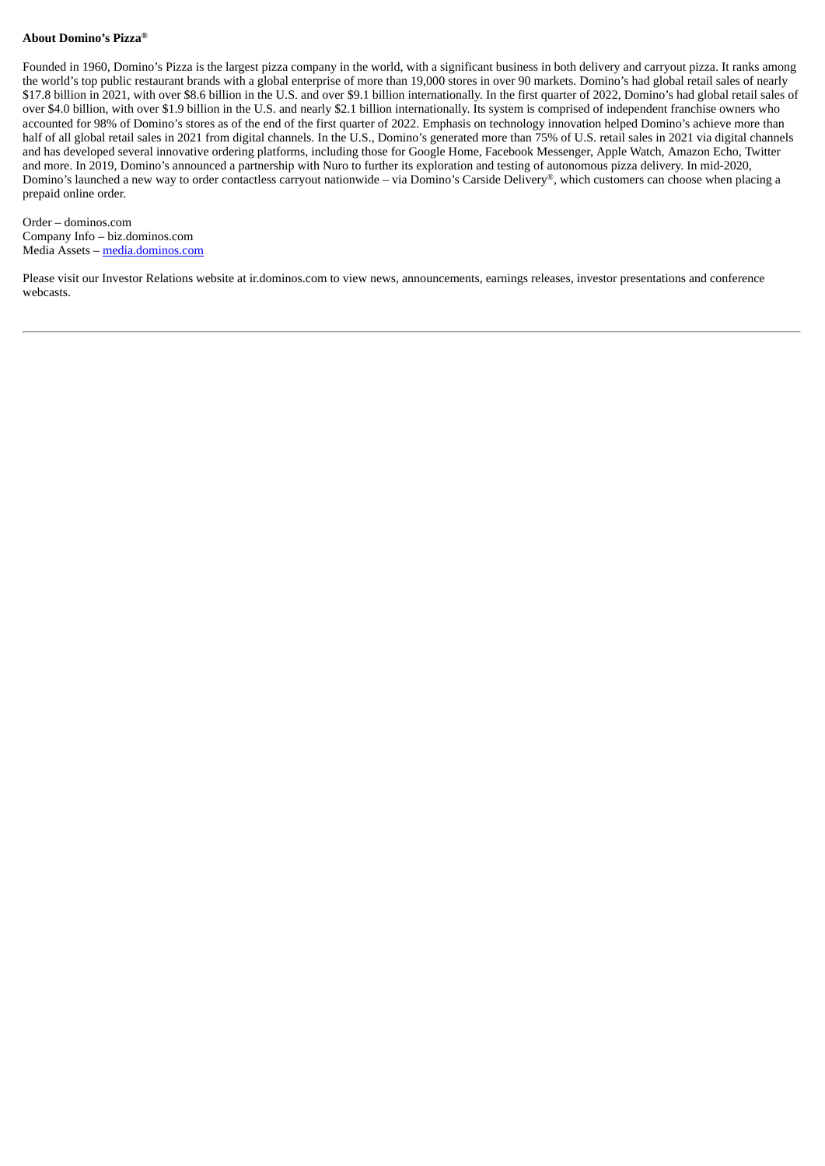# **About Domino's Pizza®**

Founded in 1960, Domino's Pizza is the largest pizza company in the world, with a significant business in both delivery and carryout pizza. It ranks among the world's top public restaurant brands with a global enterprise of more than 19,000 stores in over 90 markets. Domino's had global retail sales of nearly \$17.8 billion in 2021, with over \$8.6 billion in the U.S. and over \$9.1 billion internationally. In the first quarter of 2022, Domino's had global retail sales of over \$4.0 billion, with over \$1.9 billion in the U.S. and nearly \$2.1 billion internationally. Its system is comprised of independent franchise owners who accounted for 98% of Domino's stores as of the end of the first quarter of 2022. Emphasis on technology innovation helped Domino's achieve more than half of all global retail sales in 2021 from digital channels. In the U.S., Domino's generated more than 75% of U.S. retail sales in 2021 via digital channels and has developed several innovative ordering platforms, including those for Google Home, Facebook Messenger, Apple Watch, Amazon Echo, Twitter and more. In 2019, Domino's announced a partnership with Nuro to further its exploration and testing of autonomous pizza delivery. In mid-2020, Domino's launched a new way to order contactless carryout nationwide – via Domino's Carside Delivery®, which customers can choose when placing a prepaid online order.

Order – dominos.com Company Info – biz.dominos.com Media Assets – media.dominos.com

Please visit our Investor Relations website at ir.dominos.com to view news, announcements, earnings releases, investor presentations and conference webcasts.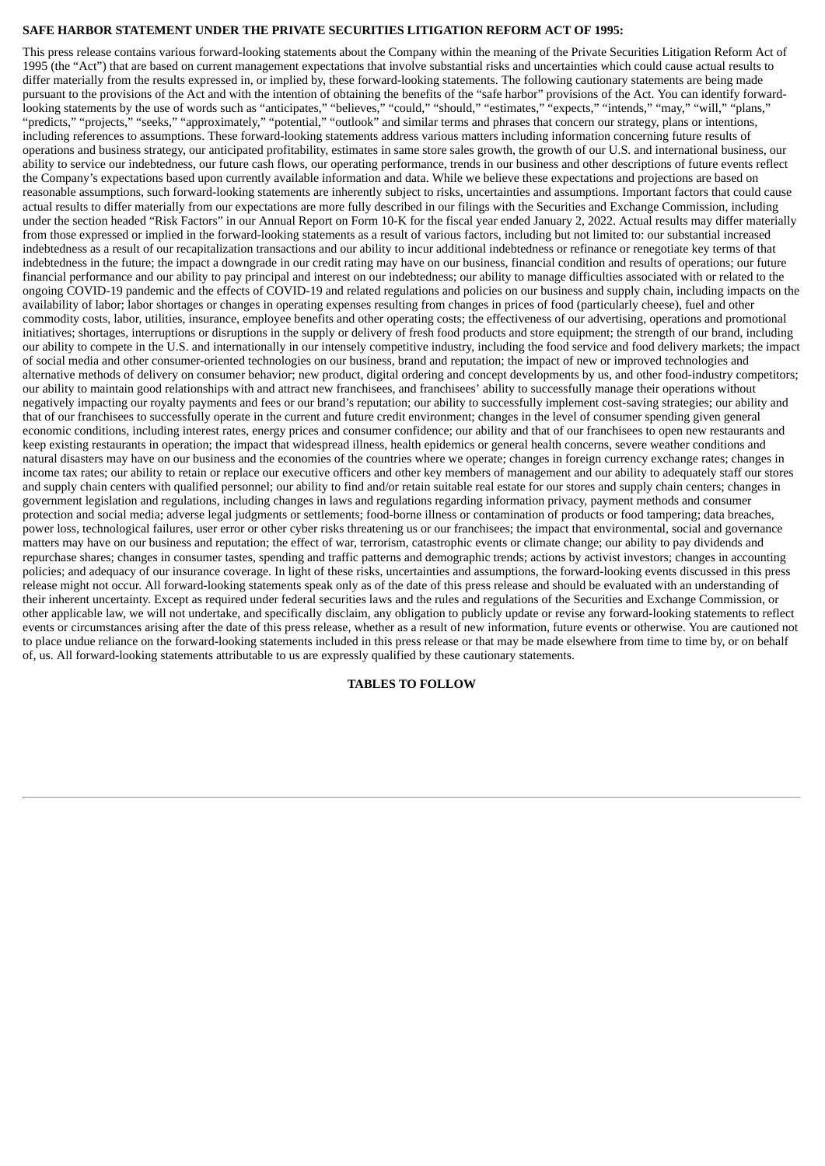## **SAFE HARBOR STATEMENT UNDER THE PRIVATE SECURITIES LITIGATION REFORM ACT OF 1995:**

This press release contains various forward-looking statements about the Company within the meaning of the Private Securities Litigation Reform Act of 1995 (the "Act") that are based on current management expectations that involve substantial risks and uncertainties which could cause actual results to differ materially from the results expressed in, or implied by, these forward-looking statements. The following cautionary statements are being made pursuant to the provisions of the Act and with the intention of obtaining the benefits of the "safe harbor" provisions of the Act. You can identify forwardlooking statements by the use of words such as "anticipates," "believes," "could," "should," "estimates," "expects," "intends," "may," "will," "plans," "predicts," "projects," "seeks," "approximately," "potential," "outlook" and similar terms and phrases that concern our strategy, plans or intentions, including references to assumptions. These forward-looking statements address various matters including information concerning future results of operations and business strategy, our anticipated profitability, estimates in same store sales growth, the growth of our U.S. and international business, our ability to service our indebtedness, our future cash flows, our operating performance, trends in our business and other descriptions of future events reflect the Company's expectations based upon currently available information and data. While we believe these expectations and projections are based on reasonable assumptions, such forward-looking statements are inherently subject to risks, uncertainties and assumptions. Important factors that could cause actual results to differ materially from our expectations are more fully described in our filings with the Securities and Exchange Commission, including under the section headed "Risk Factors" in our Annual Report on Form 10-K for the fiscal year ended January 2, 2022. Actual results may differ materially from those expressed or implied in the forward-looking statements as a result of various factors, including but not limited to: our substantial increased indebtedness as a result of our recapitalization transactions and our ability to incur additional indebtedness or refinance or renegotiate key terms of that indebtedness in the future; the impact a downgrade in our credit rating may have on our business, financial condition and results of operations; our future financial performance and our ability to pay principal and interest on our indebtedness; our ability to manage difficulties associated with or related to the ongoing COVID-19 pandemic and the effects of COVID-19 and related regulations and policies on our business and supply chain, including impacts on the availability of labor; labor shortages or changes in operating expenses resulting from changes in prices of food (particularly cheese), fuel and other commodity costs, labor, utilities, insurance, employee benefits and other operating costs; the effectiveness of our advertising, operations and promotional initiatives; shortages, interruptions or disruptions in the supply or delivery of fresh food products and store equipment; the strength of our brand, including our ability to compete in the U.S. and internationally in our intensely competitive industry, including the food service and food delivery markets; the impact of social media and other consumer-oriented technologies on our business, brand and reputation; the impact of new or improved technologies and alternative methods of delivery on consumer behavior; new product, digital ordering and concept developments by us, and other food-industry competitors; our ability to maintain good relationships with and attract new franchisees, and franchisees' ability to successfully manage their operations without negatively impacting our royalty payments and fees or our brand's reputation; our ability to successfully implement cost-saving strategies; our ability and that of our franchisees to successfully operate in the current and future credit environment; changes in the level of consumer spending given general economic conditions, including interest rates, energy prices and consumer confidence; our ability and that of our franchisees to open new restaurants and keep existing restaurants in operation; the impact that widespread illness, health epidemics or general health concerns, severe weather conditions and natural disasters may have on our business and the economies of the countries where we operate; changes in foreign currency exchange rates; changes in income tax rates; our ability to retain or replace our executive officers and other key members of management and our ability to adequately staff our stores and supply chain centers with qualified personnel; our ability to find and/or retain suitable real estate for our stores and supply chain centers; changes in government legislation and regulations, including changes in laws and regulations regarding information privacy, payment methods and consumer protection and social media; adverse legal judgments or settlements; food-borne illness or contamination of products or food tampering; data breaches, power loss, technological failures, user error or other cyber risks threatening us or our franchisees; the impact that environmental, social and governance matters may have on our business and reputation; the effect of war, terrorism, catastrophic events or climate change; our ability to pay dividends and repurchase shares; changes in consumer tastes, spending and traffic patterns and demographic trends; actions by activist investors; changes in accounting policies; and adequacy of our insurance coverage. In light of these risks, uncertainties and assumptions, the forward-looking events discussed in this press release might not occur. All forward-looking statements speak only as of the date of this press release and should be evaluated with an understanding of their inherent uncertainty. Except as required under federal securities laws and the rules and regulations of the Securities and Exchange Commission, or other applicable law, we will not undertake, and specifically disclaim, any obligation to publicly update or revise any forward-looking statements to reflect events or circumstances arising after the date of this press release, whether as a result of new information, future events or otherwise. You are cautioned not to place undue reliance on the forward-looking statements included in this press release or that may be made elsewhere from time to time by, or on behalf of, us. All forward-looking statements attributable to us are expressly qualified by these cautionary statements.

# **TABLES TO FOLLOW**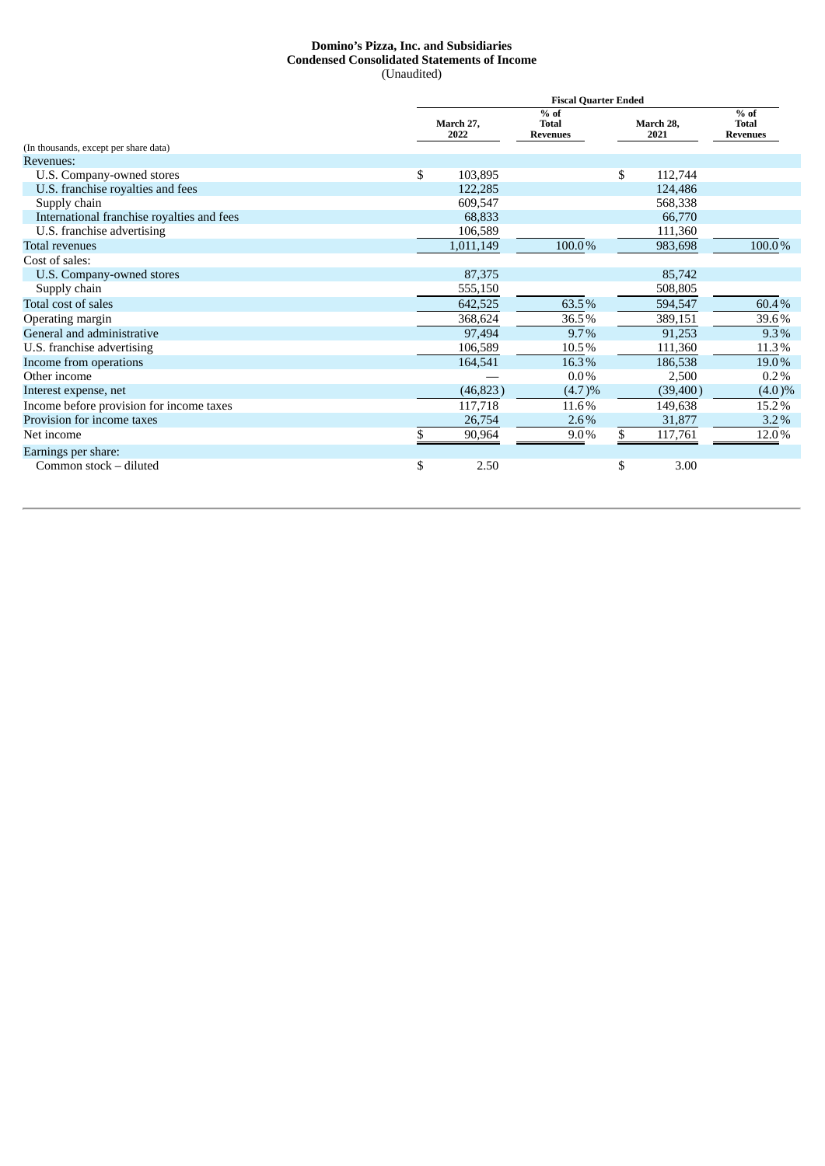## **Domino's Pizza, Inc. and Subsidiaries Condensed Consolidated Statements of Income** (Unaudited)

|                                            | <b>Fiscal Quarter Ended</b>                                    |         |                   |           |                                           |  |
|--------------------------------------------|----------------------------------------------------------------|---------|-------------------|-----------|-------------------------------------------|--|
|                                            | $%$ of<br>March 27,<br><b>Total</b><br>2022<br><b>Revenues</b> |         | March 28,<br>2021 |           | $%$ of<br><b>Total</b><br><b>Revenues</b> |  |
| (In thousands, except per share data)      |                                                                |         |                   |           |                                           |  |
| <b>Revenues:</b>                           |                                                                |         |                   |           |                                           |  |
| U.S. Company-owned stores                  | \$<br>103,895                                                  |         | \$                | 112,744   |                                           |  |
| U.S. franchise royalties and fees          | 122,285                                                        |         |                   | 124,486   |                                           |  |
| Supply chain                               | 609,547                                                        |         |                   | 568,338   |                                           |  |
| International franchise royalties and fees | 68,833                                                         |         |                   | 66,770    |                                           |  |
| U.S. franchise advertising                 | 106,589                                                        |         |                   | 111,360   |                                           |  |
| <b>Total revenues</b>                      | 1,011,149                                                      | 100.0%  |                   | 983,698   | 100.0%                                    |  |
| Cost of sales:                             |                                                                |         |                   |           |                                           |  |
| U.S. Company-owned stores                  | 87,375                                                         |         |                   | 85,742    |                                           |  |
| Supply chain                               | 555,150                                                        |         |                   | 508,805   |                                           |  |
| Total cost of sales                        | 642,525                                                        | 63.5%   |                   | 594,547   | 60.4%                                     |  |
| Operating margin                           | 368,624                                                        | 36.5%   |                   | 389,151   | 39.6%                                     |  |
| General and administrative                 | 97,494                                                         | 9.7%    |                   | 91,253    | 9.3%                                      |  |
| U.S. franchise advertising                 | 106,589                                                        | 10.5%   |                   | 111,360   | 11.3%                                     |  |
| Income from operations                     | 164,541                                                        | 16.3%   |                   | 186,538   | 19.0%                                     |  |
| Other income                               |                                                                | $0.0\%$ |                   | 2,500     | $0.2\%$                                   |  |
| Interest expense, net                      | (46, 823)                                                      | (4.7)%  |                   | (39, 400) | $(4.0)\%$                                 |  |
| Income before provision for income taxes   | 117,718                                                        | 11.6%   |                   | 149,638   | 15.2%                                     |  |
| Provision for income taxes                 | 26,754                                                         | 2.6%    |                   | 31,877    | $3.2\%$                                   |  |
| Net income                                 | \$<br>90,964                                                   | 9.0%    | \$                | 117,761   | 12.0%                                     |  |
| Earnings per share:                        |                                                                |         |                   |           |                                           |  |
| Common stock – diluted                     | \$<br>2.50                                                     |         | \$                | 3.00      |                                           |  |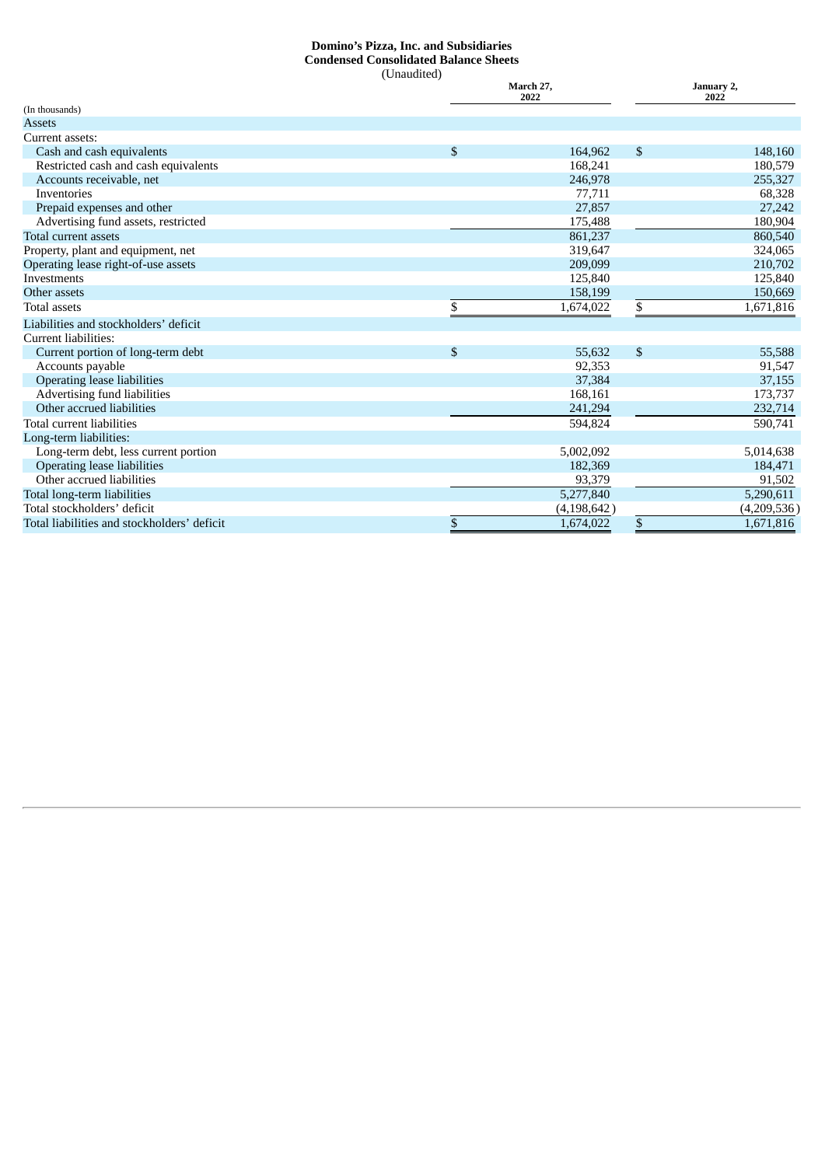#### **Domino's Pizza, Inc. and Subsidiaries Condensed Consolidated Balance Sheets** (Unaudited)

**March 27, 2022 January 2, 2022** (In thousands) Assets Current assets: Cash and cash equivalents **164,962** \$ 148,160<br>Restricted cash and cash equivalents **168,241 180,579** Restricted cash and cash equivalents and cash equivalents and cash equivalents and cash equivalents and cash equivalents and cash equivalents and cash equivalents are  $168,241$  and  $246,978$  and  $255,327$  and  $255,327$ Accounts receivable, net 246,978 255,327 Inventories 77,711 68,328 Prepaid expenses and other and other and the control of the control of the control of the control of the control of the control of the control of the control of the control of the control of the control of the control of t Advertising fund assets, restricted Total current assets 860,540<br>
Property, plant and equipment, net 319,647 324,065 Property, plant and equipment, net 319,647 324,065 324,065 324,065 324,065 324,065 324,065 324,065 324,065 324,065 324,065 324,065 324,065 324,065 324,065 324,065 324,065 324,065 324,065 324,065 3210,702 3210,702 3210,702 Operating lease right-of-use assets 209,099 210,702 Investments 125,840 125,840 Other assets 150,669 150,669 150,669 150,669 150,669 150,669 150,669 150,669 150,669 150,669 150,669 150,669 150,669 Total assets \$ 1,674,022 \$ 1,671,816 Liabilities and stockholders' deficit Current liabilities: Surrent portion of long-term debt 55,588 \$ 55,588 \$ 55,588 \$ 55,588 \$ 55,588 \$ \$ 55,588 \$ \$ 55,588 \$ \$ 55,588 \$ Accounts payable Operating lease liabilities 37,155<br>
Advertising fund liabilities 37,155<br>
Advertising fund liabilities 173,737 Advertising fund liabilities 173,737<br>
Other accrued liabilities 173,737<br>
232.714 173,737<br>
232.714 Other accrued liabilities Total current liabilities 594,824 590,741 Long-term liabilities: Long-term debt, less current portion 5,014,638 Operating lease liabilities 184,471 and the control of the control of the control of the control of the control of the control of the control of the control of the control of the control of the control of the control of th Other accrued liabilities 800.000 93,379 91,502 93,379 91,502 93,379 91,502 93,379 91,502 93,379 91,502 91,502 Total long-term liabilities Total stockholders' deficit (4,198,642) (4,209,536)<br>
Total liabilities and stockholders' deficit (4,198,642) (4,209,536) (4,209,536 ) Total liabilities and stockholders' deficit 5 1,674,022  $\overline{\$}$